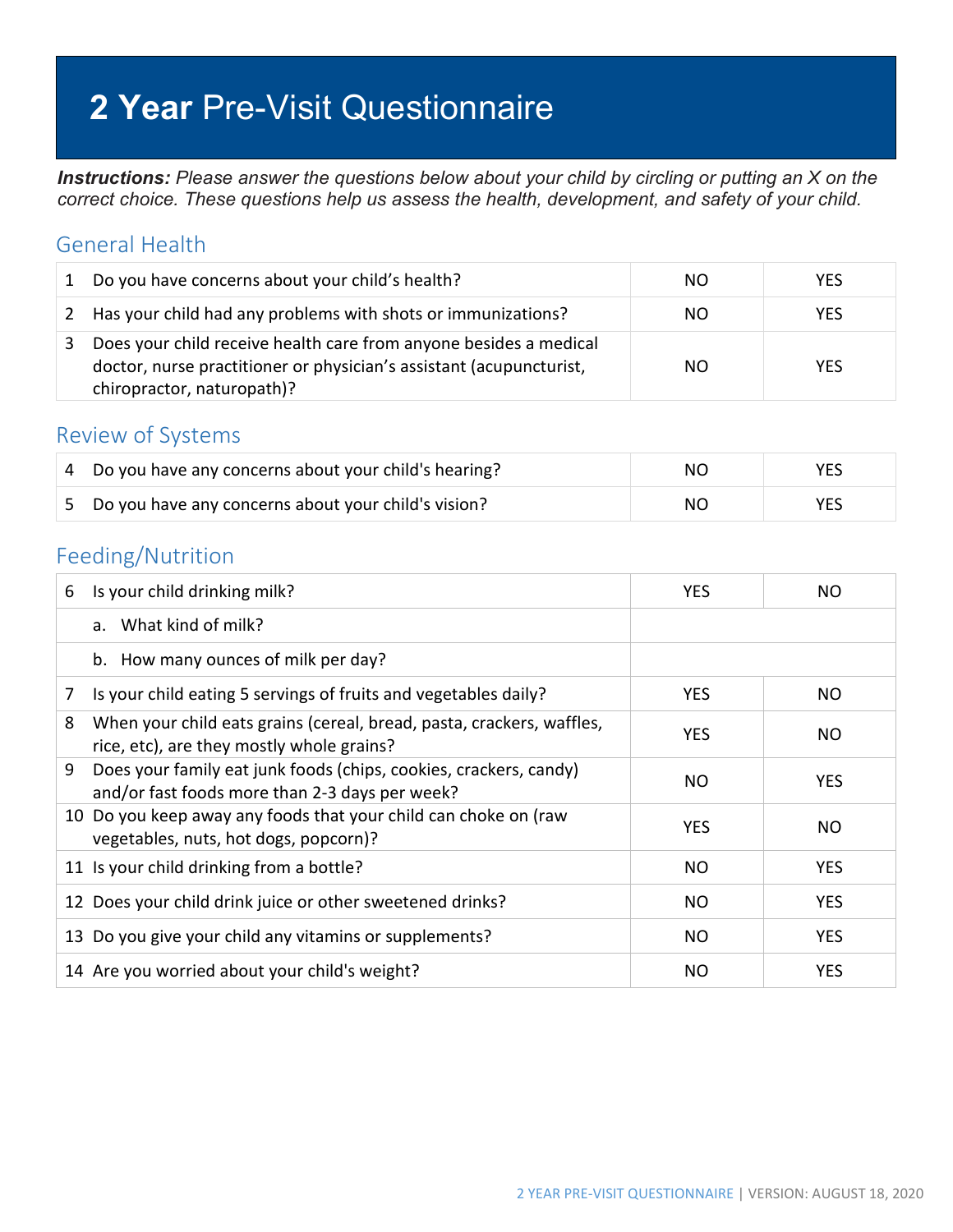# **2 Year** Pre-Visit Questionnaire

*Instructions: Please answer the questions below about your child by circling or putting an X on the correct choice. These questions help us assess the health, development, and safety of your child.*

#### General Health

| 1 | Do you have concerns about your child's health?                                                                                                                        | NO. | <b>YES</b> |
|---|------------------------------------------------------------------------------------------------------------------------------------------------------------------------|-----|------------|
|   | 2 Has your child had any problems with shots or immunizations?                                                                                                         | NO. | <b>YES</b> |
|   | Does your child receive health care from anyone besides a medical<br>doctor, nurse practitioner or physician's assistant (acupuncturist,<br>chiropractor, naturopath)? | NO. | <b>YES</b> |

#### Review of Systems

| 4 Do you have any concerns about your child's hearing? | NO. | YES. |
|--------------------------------------------------------|-----|------|
| 5 Do you have any concerns about your child's vision?  | NO. | YES  |

#### Feeding/Nutrition

| 6 | Is your child drinking milk?                                                                                        | <b>YES</b> | NO.        |
|---|---------------------------------------------------------------------------------------------------------------------|------------|------------|
|   | a. What kind of milk?                                                                                               |            |            |
|   | b. How many ounces of milk per day?                                                                                 |            |            |
| 7 | Is your child eating 5 servings of fruits and vegetables daily?                                                     | <b>YES</b> | NO.        |
| 8 | When your child eats grains (cereal, bread, pasta, crackers, waffles,<br>rice, etc), are they mostly whole grains?  | <b>YES</b> | NO.        |
| 9 | Does your family eat junk foods (chips, cookies, crackers, candy)<br>and/or fast foods more than 2-3 days per week? | NO         | YES.       |
|   | 10 Do you keep away any foods that your child can choke on (raw<br>vegetables, nuts, hot dogs, popcorn)?            | <b>YES</b> | NO.        |
|   | 11 Is your child drinking from a bottle?                                                                            | NO         | <b>YES</b> |
|   | 12 Does your child drink juice or other sweetened drinks?                                                           | <b>NO</b>  | <b>YES</b> |
|   | 13 Do you give your child any vitamins or supplements?                                                              | <b>NO</b>  | <b>YES</b> |
|   | 14 Are you worried about your child's weight?                                                                       | NO         | <b>YES</b> |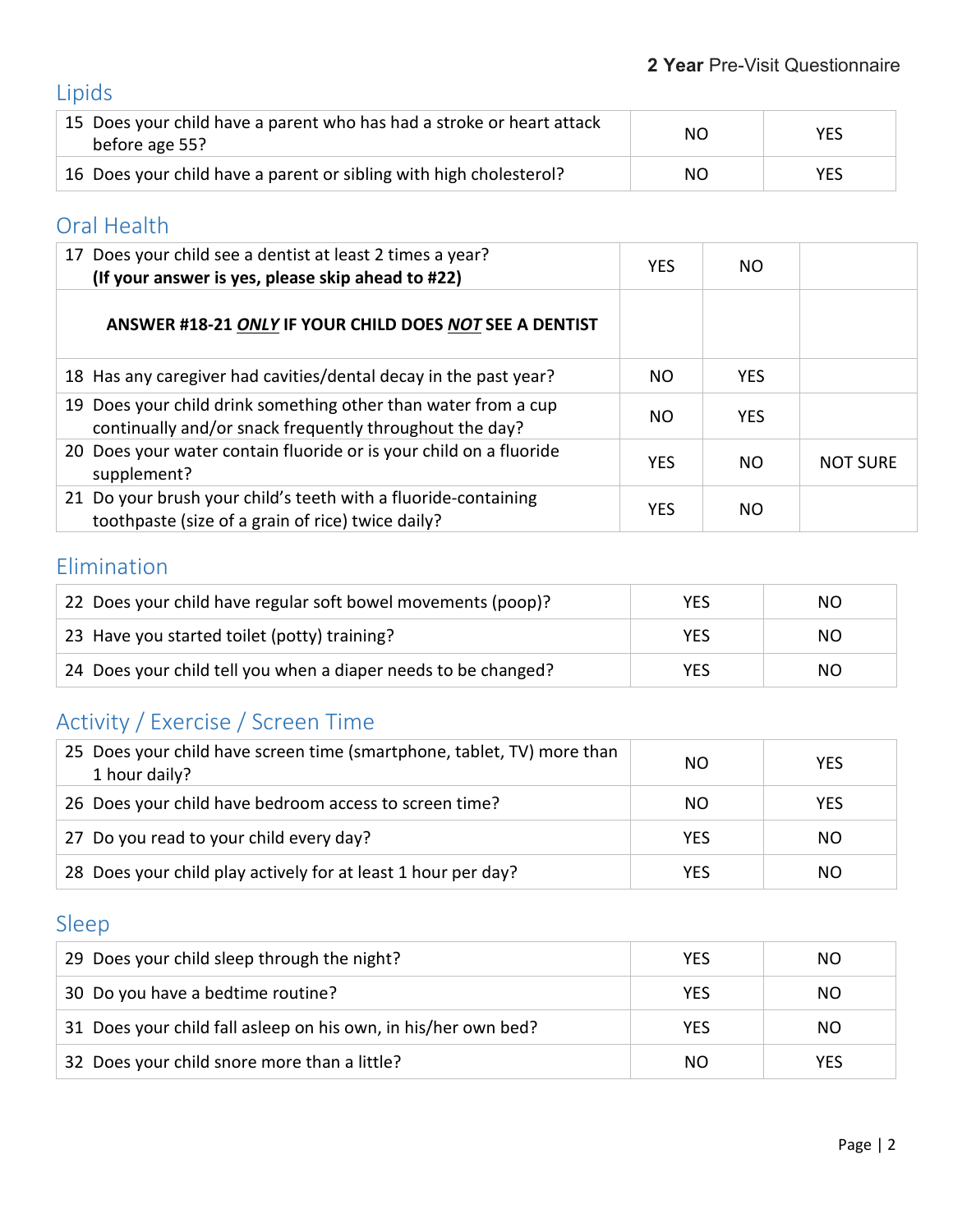# Lipids

| 15 Does your child have a parent who has had a stroke or heart attack<br>before age 55? | NO. | <b>YES</b> |
|-----------------------------------------------------------------------------------------|-----|------------|
| 16 Does your child have a parent or sibling with high cholesterol?                      | NO. | <b>YES</b> |

#### Oral Health

| 17 Does your child see a dentist at least 2 times a year?<br>(If your answer is yes, please skip ahead to #22)            | <b>YES</b> | NO.        |                 |
|---------------------------------------------------------------------------------------------------------------------------|------------|------------|-----------------|
| ANSWER #18-21 ONLY IF YOUR CHILD DOES NOT SEE A DENTIST                                                                   |            |            |                 |
| 18 Has any caregiver had cavities/dental decay in the past year?                                                          | NO.        | <b>YES</b> |                 |
| 19 Does your child drink something other than water from a cup<br>continually and/or snack frequently throughout the day? | NO.        | <b>YFS</b> |                 |
| 20 Does your water contain fluoride or is your child on a fluoride<br>supplement?                                         | <b>YES</b> | NO.        | <b>NOT SURE</b> |
| 21 Do your brush your child's teeth with a fluoride-containing<br>toothpaste (size of a grain of rice) twice daily?       | <b>YES</b> | NO.        |                 |

#### Elimination

| 22 Does your child have regular soft bowel movements (poop)?   | YES | NO. |
|----------------------------------------------------------------|-----|-----|
| 23 Have you started toilet (potty) training?                   | YES | NO. |
| 24 Does your child tell you when a diaper needs to be changed? | YES | NO. |

## Activity / Exercise / Screen Time

| 25 Does your child have screen time (smartphone, tablet, TV) more than<br>1 hour daily? | NO.        | <b>YES</b> |
|-----------------------------------------------------------------------------------------|------------|------------|
| 26 Does your child have bedroom access to screen time?                                  | NO.        | <b>YES</b> |
| 27 Do you read to your child every day?                                                 | <b>YES</b> | NO.        |
| 28 Does your child play actively for at least 1 hour per day?                           | <b>YES</b> | NO.        |

## Sleep

| 29 Does your child sleep through the night?                    | <b>YES</b> | NO.        |
|----------------------------------------------------------------|------------|------------|
| 30 Do you have a bedtime routine?                              | <b>YES</b> | NO.        |
| 31 Does your child fall asleep on his own, in his/her own bed? | <b>YES</b> | NO.        |
| 32 Does your child snore more than a little?                   | NO.        | <b>YES</b> |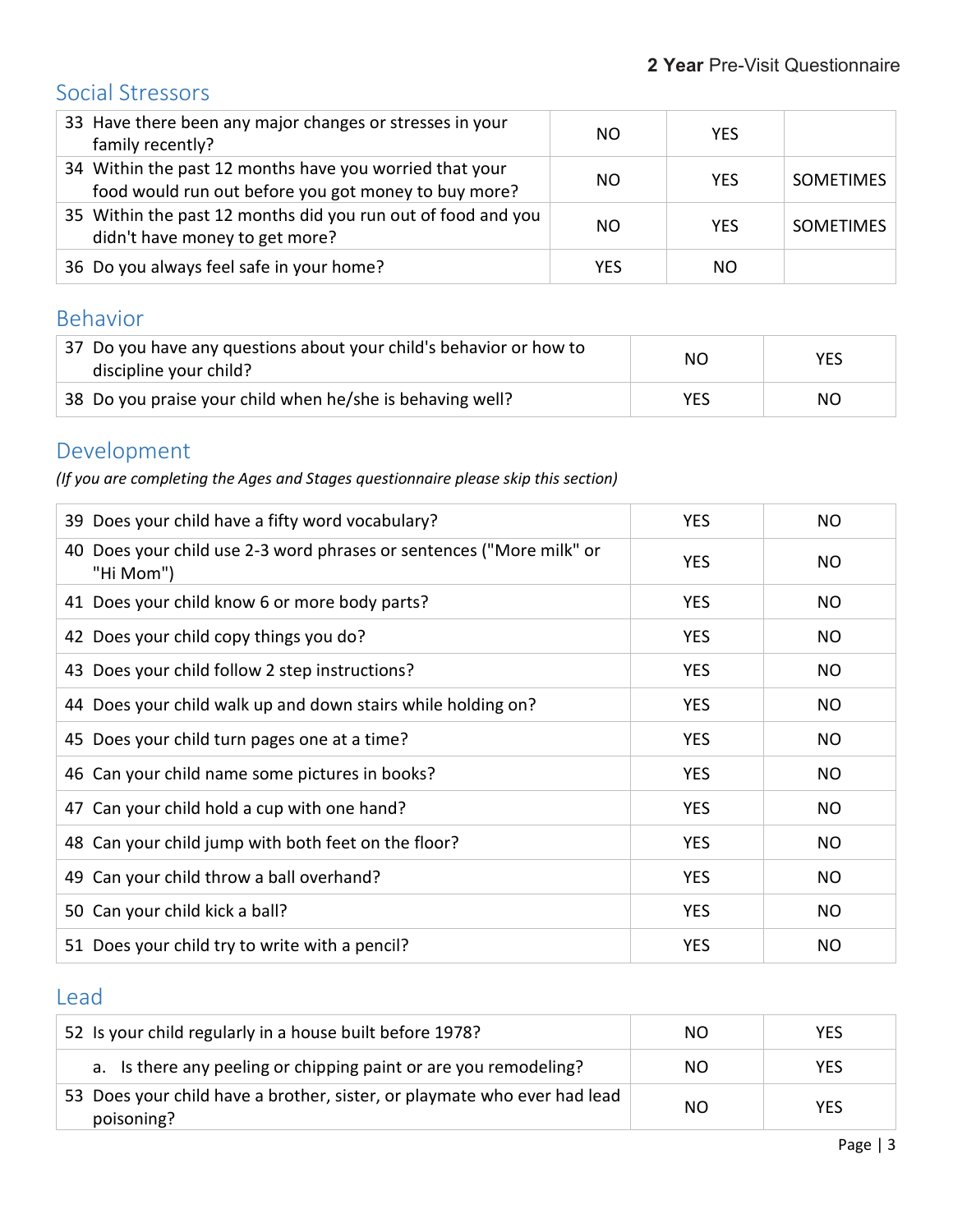## Social Stressors

| 33 Have there been any major changes or stresses in your<br>family recently?                                    | NO.        | <b>YES</b> |                  |
|-----------------------------------------------------------------------------------------------------------------|------------|------------|------------------|
| 34 Within the past 12 months have you worried that your<br>food would run out before you got money to buy more? | NO.        | <b>YES</b> | <b>SOMETIMES</b> |
| 35 Within the past 12 months did you run out of food and you<br>didn't have money to get more?                  | NO.        | <b>YES</b> | <b>SOMETIMES</b> |
| 36 Do you always feel safe in your home?                                                                        | <b>YES</b> | NO         |                  |

#### Behavior

| 37 Do you have any questions about your child's behavior or how to<br>discipline your child? | NO.        | <b>YES</b> |
|----------------------------------------------------------------------------------------------|------------|------------|
| 38 Do you praise your child when he/she is behaving well?                                    | <b>YES</b> | NO.        |

## Development

*(If you are completing the Ages and Stages questionnaire please skip this section)*

| 39 Does your child have a fifty word vocabulary?                                     | <b>YES</b> | <b>NO</b>      |
|--------------------------------------------------------------------------------------|------------|----------------|
| Does your child use 2-3 word phrases or sentences ("More milk" or<br>40<br>"Hi Mom") | <b>YES</b> | NO.            |
| 41 Does your child know 6 or more body parts?                                        | <b>YES</b> | <b>NO</b>      |
| 42 Does your child copy things you do?                                               | <b>YES</b> | <b>NO</b>      |
| 43 Does your child follow 2 step instructions?                                       | <b>YES</b> | <b>NO</b>      |
| 44 Does your child walk up and down stairs while holding on?                         | <b>YES</b> | <b>NO</b>      |
| 45 Does your child turn pages one at a time?                                         | <b>YES</b> | <b>NO</b>      |
| 46 Can your child name some pictures in books?                                       | <b>YES</b> | N <sub>O</sub> |
| 47 Can your child hold a cup with one hand?                                          | <b>YES</b> | NO.            |
| 48 Can your child jump with both feet on the floor?                                  | <b>YES</b> | <b>NO</b>      |
| 49 Can your child throw a ball overhand?                                             | <b>YES</b> | <b>NO</b>      |
| 50 Can your child kick a ball?                                                       | <b>YES</b> | <b>NO</b>      |
| 51 Does your child try to write with a pencil?                                       | <b>YES</b> | <b>NO</b>      |

#### Lead

| 52 Is your child regularly in a house built before 1978?                               | NO. | <b>YES</b> |
|----------------------------------------------------------------------------------------|-----|------------|
| a. Is there any peeling or chipping paint or are you remodeling?                       | NO. | <b>YES</b> |
| 53 Does your child have a brother, sister, or playmate who ever had lead<br>poisoning? | NO  | <b>YES</b> |